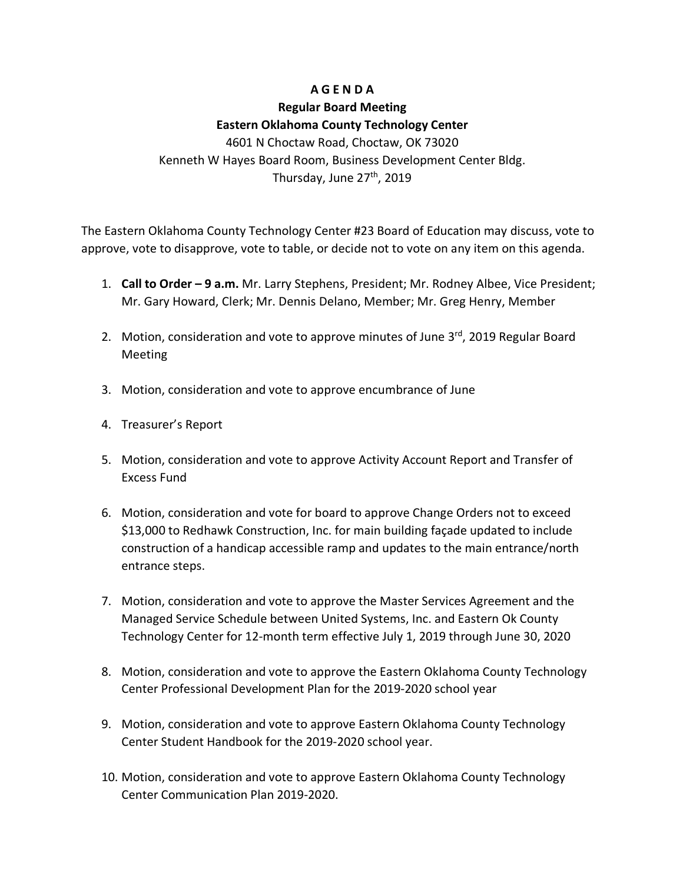## **A G E N D A**

# **Regular Board Meeting Eastern Oklahoma County Technology Center** 4601 N Choctaw Road, Choctaw, OK 73020 Kenneth W Hayes Board Room, Business Development Center Bldg. Thursday, June 27<sup>th</sup>, 2019

The Eastern Oklahoma County Technology Center #23 Board of Education may discuss, vote to approve, vote to disapprove, vote to table, or decide not to vote on any item on this agenda.

- 1. **Call to Order – 9 a.m.** Mr. Larry Stephens, President; Mr. Rodney Albee, Vice President; Mr. Gary Howard, Clerk; Mr. Dennis Delano, Member; Mr. Greg Henry, Member
- 2. Motion, consideration and vote to approve minutes of June 3<sup>rd</sup>, 2019 Regular Board Meeting
- 3. Motion, consideration and vote to approve encumbrance of June
- 4. Treasurer's Report
- 5. Motion, consideration and vote to approve Activity Account Report and Transfer of Excess Fund
- 6. Motion, consideration and vote for board to approve Change Orders not to exceed \$13,000 to Redhawk Construction, Inc. for main building façade updated to include construction of a handicap accessible ramp and updates to the main entrance/north entrance steps.
- 7. Motion, consideration and vote to approve the Master Services Agreement and the Managed Service Schedule between United Systems, Inc. and Eastern Ok County Technology Center for 12-month term effective July 1, 2019 through June 30, 2020
- 8. Motion, consideration and vote to approve the Eastern Oklahoma County Technology Center Professional Development Plan for the 2019-2020 school year
- 9. Motion, consideration and vote to approve Eastern Oklahoma County Technology Center Student Handbook for the 2019-2020 school year.
- 10. Motion, consideration and vote to approve Eastern Oklahoma County Technology Center Communication Plan 2019-2020.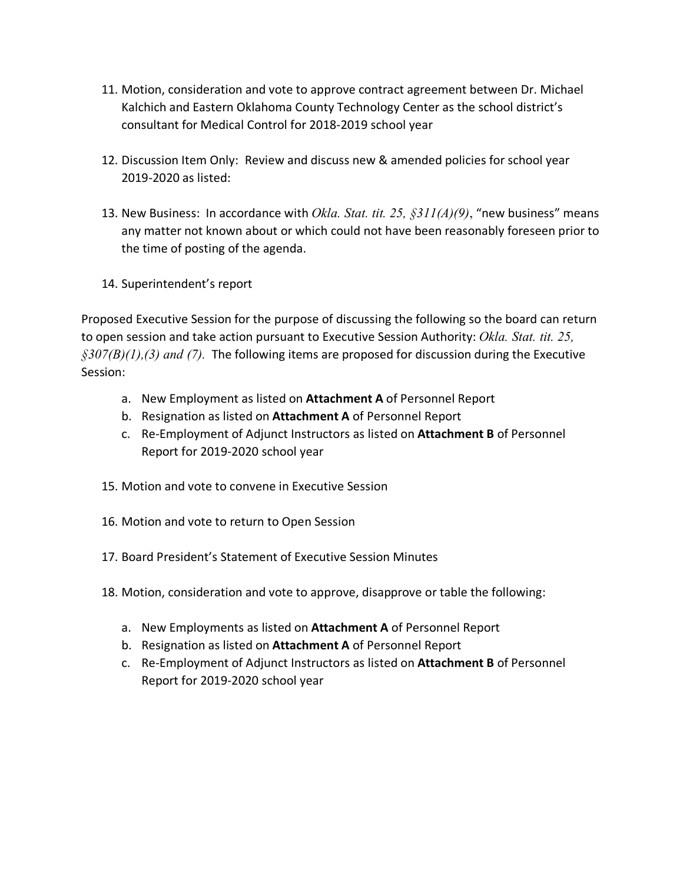- 11. Motion, consideration and vote to approve contract agreement between Dr. Michael Kalchich and Eastern Oklahoma County Technology Center as the school district's consultant for Medical Control for 2018-2019 school year
- 12. Discussion Item Only: Review and discuss new & amended policies for school year 2019-2020 as listed:
- 13. New Business: In accordance with *Okla. Stat. tit. 25, §311(A)(9)*, "new business" means any matter not known about or which could not have been reasonably foreseen prior to the time of posting of the agenda.
- 14. Superintendent's report

Proposed Executive Session for the purpose of discussing the following so the board can return to open session and take action pursuant to Executive Session Authority: *Okla. Stat. tit. 25, §307(B)(1),(3) and (7).* The following items are proposed for discussion during the Executive Session:

- a. New Employment as listed on **Attachment A** of Personnel Report
- b. Resignation as listed on **Attachment A** of Personnel Report
- c. Re-Employment of Adjunct Instructors as listed on **Attachment B** of Personnel Report for 2019-2020 school year
- 15. Motion and vote to convene in Executive Session
- 16. Motion and vote to return to Open Session
- 17. Board President's Statement of Executive Session Minutes
- 18. Motion, consideration and vote to approve, disapprove or table the following:
	- a. New Employments as listed on **Attachment A** of Personnel Report
	- b. Resignation as listed on **Attachment A** of Personnel Report
	- c. Re-Employment of Adjunct Instructors as listed on **Attachment B** of Personnel Report for 2019-2020 school year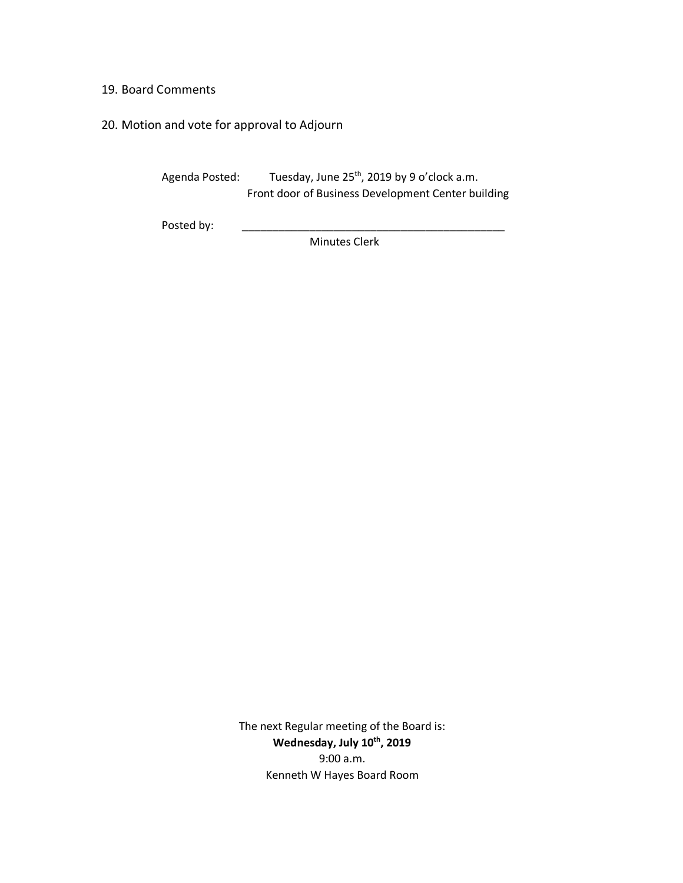### 19. Board Comments

# 20. Motion and vote for approval to Adjourn

Agenda Posted: Tuesday, June 25<sup>th</sup>, 2019 by 9 o'clock a.m. Front door of Business Development Center building

Posted by:

Minutes Clerk

The next Regular meeting of the Board is: Wednesday, July 10<sup>th</sup>, 2019 9:00 a.m. Kenneth W Hayes Board Room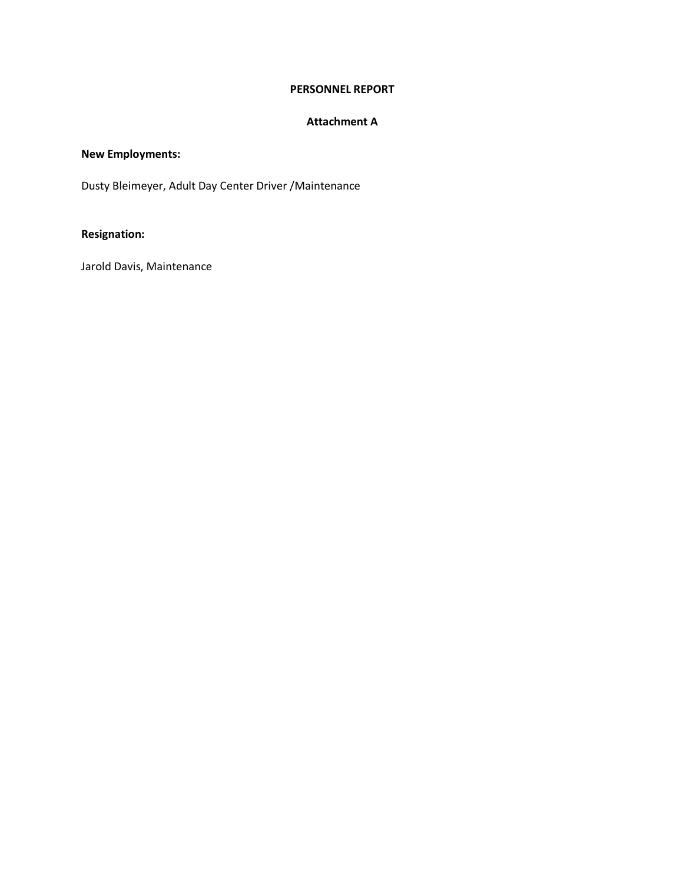### **PERSONNEL REPORT**

#### **Attachment A**

## **New Employments:**

Dusty Bleimeyer, Adult Day Center Driver /Maintenance

## **Resignation:**

Jarold Davis, Maintenance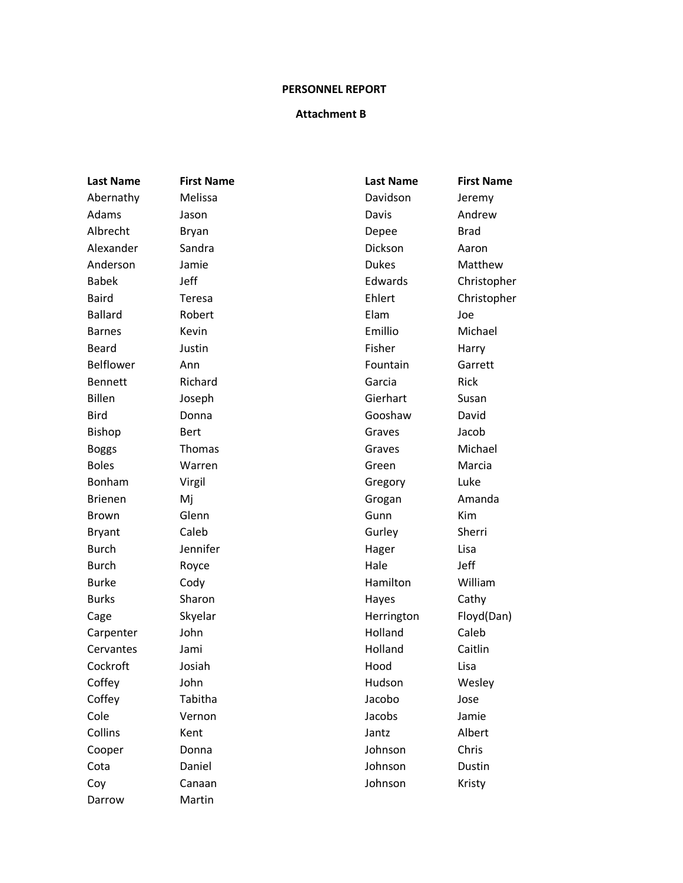#### **PERSONNEL REPORT**

#### **Attachment B**

Darrow Martin

**Last Name First Name Last Name First Name** Abernathy Melissa Davidson Jeremy Adams Jason Jason Davis Davis Andrew Albrecht Bryan **Bryan Brad** Depee Brad Alexander Sandra **Canadia Accord Accord Accord Accord Sandra** Dickson Aaron Anderson Jamie **Dukes** Dukes Matthew Babek Jeff **Edwards** Christopher Baird Teresa **Ehlert** Christopher Ballard **Robert** Robert **Elam** Joe Barnes Kevin **Kevin Emillio** Emillio Michael Beard **Justin** Justin **Fisher** Harry Belflower Ann **Fountain** Garrett Bennett Richard Richard Garcia Rick Billen Joseph Gierhart Susan Bird Donna Gooshaw David Bishop Bert Bert Graves Grauss Bishop Boggs **Thomas** Thomas **Graves** Grames Michael Boles Marren Green Green Marcia Bonham Virgil Gregory Luke Brienen Mj Mij Grogan Amanda Brown Glenn Gunn Gunn Kim Bryant Caleb Caleb Gurley Sherri Burch Jennifer Hager Lisa Burch Royce Royce Rowse Reserves Rule Burch and Hale and Jeff Burke Cody Cody Hamilton William Burks Sharon Sharon Hayes Cathy Cage Skyelar Skyelar Herrington Floyd(Dan) Carpenter John **Holland** Caleb Cervantes Jami and Holland Caitlin Cockroft Josiah **Hood** Lisa Coffey John Hudson Wesley Coffey **Tabitha** Tabitha Jacobo Jose Cole Vernon Jacobs Jamie Collins Ment Kent Albert According Manual Albert Cooper Donna Johnson Chris Cota **Daniel** Daniel **Contact Dustin** Dustin Coy Canaan Canaan Johnson Kristy